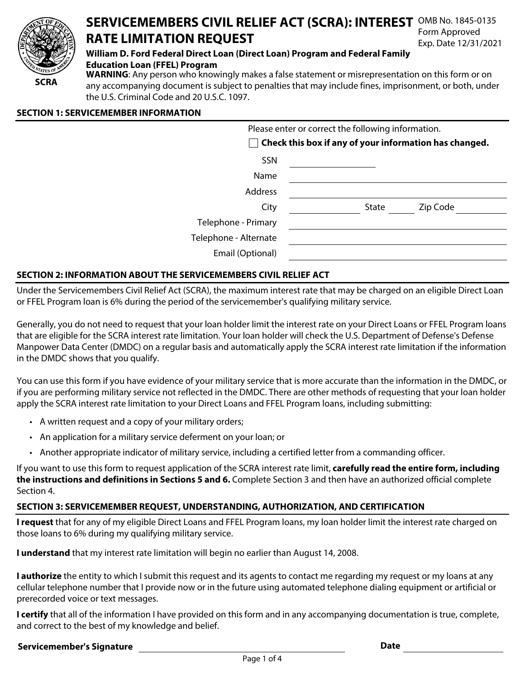

#### **SERVICEMEMBERS CIVIL RELIEF ACT (SCRA): INTEREST** OMB No. 1845-0135 **RATE LIMITATION REQUEST**  Form Approved Exp. Date 12/31/2021

# **William D. Ford Federal Direct Loan (Direct Loan) Program and Federal Family**

#### **Education Loan (FFEL) Program**

**WARNING**: Any person who knowingly makes a false statement or misrepresentation on this form or on any accompanying document is subject to penalties that may include fines, imprisonment, or both, under the U.S. Criminal Code and 20 U.S.C. 1097.

#### **SECTION 1: SERVICEMEMBER INFORMATION**

| Please enter or correct the following information.<br>Check this box if any of your information has changed. |  |       |          |  |
|--------------------------------------------------------------------------------------------------------------|--|-------|----------|--|
| <b>SSN</b>                                                                                                   |  |       |          |  |
| Name                                                                                                         |  |       |          |  |
| Address                                                                                                      |  |       |          |  |
| City                                                                                                         |  | State | Zip Code |  |
| Telephone - Primary                                                                                          |  |       |          |  |
| Telephone - Alternate                                                                                        |  |       |          |  |
| Email (Optional)                                                                                             |  |       |          |  |
|                                                                                                              |  |       |          |  |

### **SECTION 2: INFORMATION ABOUT THE SERVICEMEMBERS CIVIL RELIEF ACT**

Under the Servicemembers Civil Relief Act (SCRA), the maximum interest rate that may be charged on an eligible Direct Loan or FFEL Program loan is 6% during the period of the servicemember's qualifying military service.

Generally, you do not need to request that your loan holder limit the interest rate on your Direct Loans or FFEL Program loans that are eligible for the SCRA interest rate limitation. Your loan holder will check the U.S. Department of Defense's Defense Manpower Data Center (DMDC) on a regular basis and automatically apply the SCRA interest rate limitation if the information in the DMDC shows that you qualify.

You can use this form if you have evidence of your military service that is more accurate than the information in the DMDC, or if you are performing military service not reflected in the DMDC. There are other methods of requesting that your loan holder apply the SCRA interest rate limitation to your Direct Loans and FFEL Program loans, including submitting:

- A written request and a copy of your military orders;
- An application for a military service deferment on your loan; or
- Another appropriate indicator of military service, including a certified letter from a commanding officer.

If you want to use this form to request application of the SCRA interest rate limit, **carefully read the entire form, including the instructions and definitions in Sections 5 and 6.** Complete Section 3 and then have an authorized official complete Section 4.

### **SECTION 3: SERVICEMEMBER REQUEST, UNDERSTANDING, AUTHORIZATION, AND CERTIFICATION**

**I request** that for any of my eligible Direct Loans and FFEL Program loans, my loan holder limit the interest rate charged on those loans to 6% during my qualifying military service.

**I understand** that my interest rate limitation will begin no earlier than August 14, 2008.

**I authorize** the entity to which I submit this request and its agents to contact me regarding my request or my loans at any cellular telephone number that I provide now or in the future using automated telephone dialing equipment or artificial or prerecorded voice or text messages.

**I certify** that all of the information I have provided on this form and in any accompanying documentation is true, complete, and correct to the best of my knowledge and belief.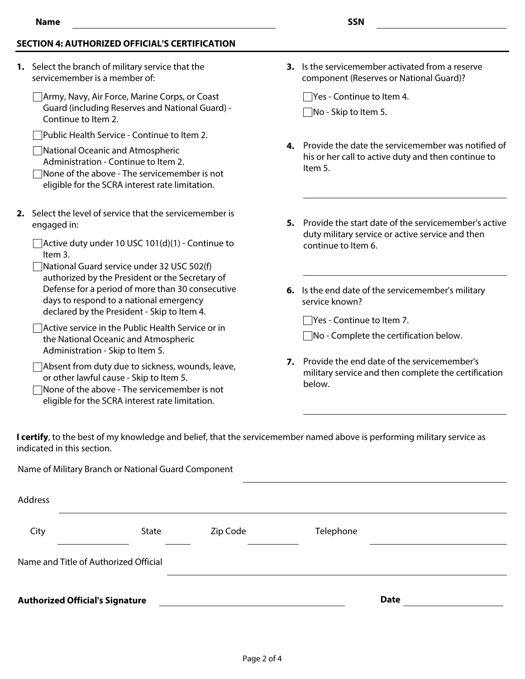#### **SECTION 4: AUTHORIZED OFFICIAL'S CERTIFICATION**

- **1.** Select the branch of military service that the servicemember is a member of:
	- Army, Navy, Air Force, Marine Corps, or Coast Guard (including Reserves and National Guard) - Continue to Item 2.
	- Public Health Service Continue to Item 2.
	- National Oceanic and Atmospheric Administration - Continue to Item 2.
	- None of the above The servicemember is not eligible for the SCRA interest rate limitation.
- **2.** Select the level of service that the servicemember is engaged in:
	- $\Box$  Active duty under 10 USC 101(d)(1) Continue to Item 3.
	- National Guard service under 32 USC 502(f) authorized by the President or the Secretary of Defense for a period of more than 30 consecutive days to respond to a national emergency declared by the President - Skip to Item 4.
	- Active service in the Public Health Service or in the National Oceanic and Atmospheric Administration - Skip to Item 5.
	- Absent from duty due to sickness, wounds, leave, or other lawful cause - Skip to Item 5.
	- None of the above The servicemember is not eligible for the SCRA interest rate limitation.

**3.** Is the servicemember activated from a reserve component (Reserves or National Guard)?

 $\Box$  Yes - Continue to Item 4.  $\Box$ No - Skip to Item 5.

- **4.** Provide the date the servicemember was notified of his or her call to active duty and then continue to Item 5.
- **5.** Provide the start date of the servicemember's active duty military service or active service and then continue to Item 6.
- **6.** Is the end date of the servicemember's military service known?

Yes - Continue to Item 7.

 $\Box$ No - Complete the certification below.

**7.** Provide the end date of the servicemember's military service and then complete the certification below.

**I certify**, to the best of my knowledge and belief, that the servicemember named above is performing military service as indicated in this section.

Name of Military Branch or National Guard Component

| Address                                |       |          |             |  |
|----------------------------------------|-------|----------|-------------|--|
| City                                   | State | Zip Code | Telephone   |  |
| Name and Title of Authorized Official  |       |          |             |  |
| <b>Authorized Official's Signature</b> |       |          | <b>Date</b> |  |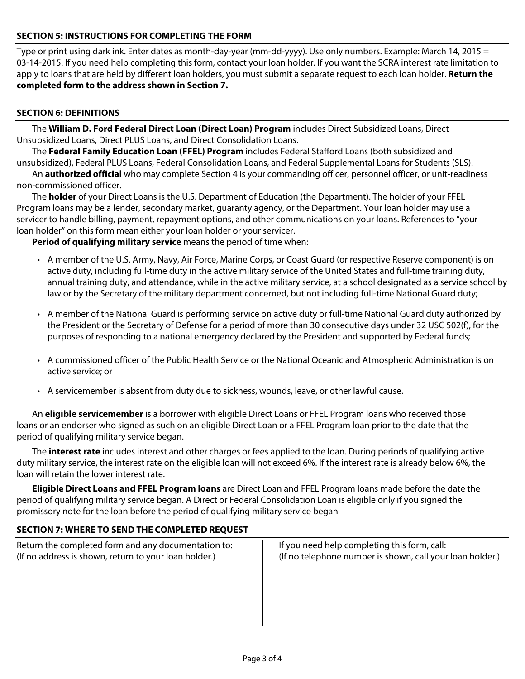### **SECTION 5: INSTRUCTIONS FOR COMPLETING THE FORM**

Type or print using dark ink. Enter dates as month-day-year (mm-dd-yyyy). Use only numbers. Example: March 14, 2015 = 03-14-2015. If you need help completing this form, contact your loan holder. If you want the SCRA interest rate limitation to apply to loans that are held by different loan holders, you must submit a separate request to each loan holder. **Return the completed form to the address shown in Section 7.**

## **SECTION 6: DEFINITIONS**

The **William D. Ford Federal Direct Loan (Direct Loan) Program** includes Direct Subsidized Loans, Direct Unsubsidized Loans, Direct PLUS Loans, and Direct Consolidation Loans.

The **Federal Family Education Loan (FFEL) Program** includes Federal Stafford Loans (both subsidized and unsubsidized), Federal PLUS Loans, Federal Consolidation Loans, and Federal Supplemental Loans for Students (SLS).

An **authorized official** who may complete Section 4 is your commanding officer, personnel officer, or unit-readiness non-commissioned officer.

The **holder** of your Direct Loans is the U.S. Department of Education (the Department). The holder of your FFEL Program loans may be a lender, secondary market, guaranty agency, or the Department. Your loan holder may use a servicer to handle billing, payment, repayment options, and other communications on your loans. References to "your loan holder" on this form mean either your loan holder or your servicer.

**Period of qualifying military service** means the period of time when:

- A member of the U.S. Army, Navy, Air Force, Marine Corps, or Coast Guard (or respective Reserve component) is on active duty, including full-time duty in the active military service of the United States and full-time training duty, annual training duty, and attendance, while in the active military service, at a school designated as a service school by law or by the Secretary of the military department concerned, but not including full-time National Guard duty;
- A member of the National Guard is performing service on active duty or full-time National Guard duty authorized by the President or the Secretary of Defense for a period of more than 30 consecutive days under 32 USC 502(f), for the purposes of responding to a national emergency declared by the President and supported by Federal funds;
- A commissioned officer of the Public Health Service or the National Oceanic and Atmospheric Administration is on active service; or
- A servicemember is absent from duty due to sickness, wounds, leave, or other lawful cause.

An **eligible servicemember** is a borrower with eligible Direct Loans or FFEL Program loans who received those loans or an endorser who signed as such on an eligible Direct Loan or a FFEL Program loan prior to the date that the period of qualifying military service began.

The **interest rate** includes interest and other charges or fees applied to the loan. During periods of qualifying active duty military service, the interest rate on the eligible loan will not exceed 6%. If the interest rate is already below 6%, the loan will retain the lower interest rate.

**Eligible Direct Loans and FFEL Program loans** are Direct Loan and FFEL Program loans made before the date the period of qualifying military service began. A Direct or Federal Consolidation Loan is eligible only if you signed the promissory note for the loan before the period of qualifying military service began

### **SECTION 7: WHERE TO SEND THE COMPLETED REQUEST**

| Return the completed form and any documentation to:   | If you need help completing this form, call:              |
|-------------------------------------------------------|-----------------------------------------------------------|
| (If no address is shown, return to your loan holder.) | (If no telephone number is shown, call your loan holder.) |
|                                                       |                                                           |